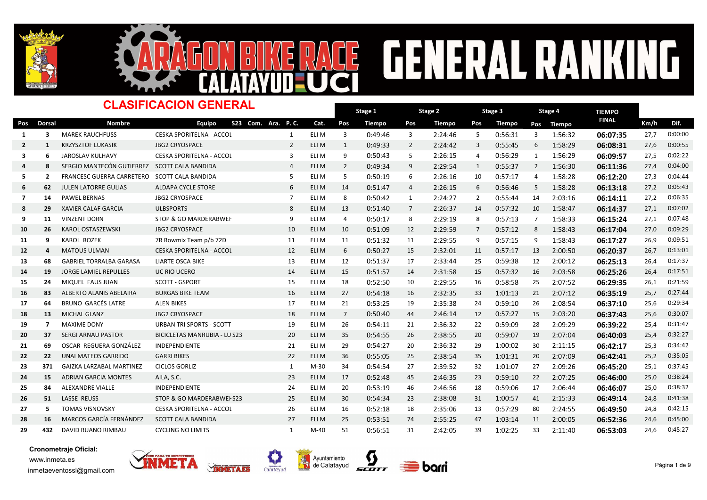



### **FENERAL RA** NG E  $\frac{1}{2}$

|                |                | <b>CLASIFICACION GENERAL</b>                 |                                     | Stage 1<br>Stage 2 |       |                |               | Stage 3<br>Stage 4 |         |                |         | <b>TIEMPO</b>  |               |              |      |         |
|----------------|----------------|----------------------------------------------|-------------------------------------|--------------------|-------|----------------|---------------|--------------------|---------|----------------|---------|----------------|---------------|--------------|------|---------|
| Pos            | Dorsal         | <b>Nombre</b>                                | Equipo<br>S23 Com. Ara. P.C.        |                    | Cat.  | Pos            | <b>Tiempo</b> | Pos                | Tiempo  | Pos            | Tiempo  | Pos            | <b>Tiempo</b> | <b>FINAL</b> | Km/h | Dif.    |
| 1              | 3              | <b>MAREK RAUCHFUSS</b>                       | CESKA SPORITELNA - ACCOL            | 1                  | ELI M | 3              | 0:49:46       | 3                  | 2:24:46 | 5              | 0:56:31 | 3              | 1:56:32       | 06:07:35     | 27,7 | 0:00:00 |
| $\overline{2}$ | 1              | <b>KRZYSZTOF LUKASIK</b>                     | <b>JBG2 CRYOSPACE</b>               | $\overline{2}$     | ELI M | 1              | 0:49:33       | $\overline{2}$     | 2:24:42 | 3              | 0:55:45 | 6              | 1:58:29       | 06:08:31     | 27,6 | 0:00:55 |
| 3              | 6              | <b>JAROSLAV KULHAVY</b>                      | CESKA SPORITELNA - ACCOL            | $\overline{3}$     | ELI M | 9              | 0:50:43       | 5                  | 2:26:15 | 4              | 0:56:29 | 1              | 1:56:29       | 06:09:57     | 27,5 | 0:02:22 |
| $\overline{a}$ | 8              | SERGIO MANTECÓN GUTIERREZ SCOTT CALA BANDIDA |                                     | $\overline{4}$     | ELI M | $\overline{2}$ | 0:49:34       | 9                  | 2:29:54 | 1              | 0:55:37 | 2              | 1:56:30       | 06:11:36     | 27,4 | 0:04:00 |
| -5             | $\overline{2}$ | FRANCESC GUERRA CARRETERO SCOTT CALA BANDIDA |                                     | 5                  | ELI M | 5              | 0:50:19       | 6                  | 2:26:16 | 10             | 0:57:17 | $\overline{4}$ | 1:58:28       | 06:12:20     | 27,3 | 0:04:44 |
| 6              | 62             | JULEN LATORRE GULIAS                         | ALDAPA CYCLE STORE                  | 6                  | ELI M | 14             | 0:51:47       | $\overline{4}$     | 2:26:15 | 6              | 0:56:46 | 5              | 1:58:28       | 06:13:18     | 27,2 | 0:05:43 |
| 7              | 14             | <b>PAWEL BERNAS</b>                          | <b>JBG2 CRYOSPACE</b>               | $\overline{7}$     | ELI M | 8              | 0:50:42       | $\mathbf{1}$       | 2:24:27 | $\overline{2}$ | 0:55:44 | 14             | 2:03:16       | 06:14:11     | 27,2 | 0:06:35 |
| 8              | 29             | <b>XAVIER CALAF GARCIA</b>                   | <b>ULBSPORTS</b>                    | 8                  | ELI M | 13             | 0:51:40       | 7                  | 2:26:37 | 14             | 0:57:32 | 10             | 1:58:47       | 06:14:37     | 27,1 | 0:07:02 |
| 9              | 11             | <b>VINZENT DORN</b>                          | STOP & GO MARDERABWEH               | 9                  | ELI M | 4              | 0:50:17       | 8                  | 2:29:19 | 8              | 0:57:13 | 7              | 1:58:33       | 06:15:24     | 27,1 | 0:07:48 |
| 10             | 26             | <b>KAROL OSTASZEWSKI</b>                     | <b>JBG2 CRYOSPACE</b>               | 10                 | ELI M | 10             | 0:51:09       | 12                 | 2:29:59 | $\overline{7}$ | 0:57:12 | 8              | 1:58:43       | 06:17:04     | 27,0 | 0:09:29 |
| 11             | 9              | <b>KAROL ROZEK</b>                           | 7R Rowmix Team p/b 72D              | 11                 | ELI M | 11             | 0:51:32       | 11                 | 2:29:55 | 9              | 0:57:15 | 9              | 1:58:43       | 06:17:27     | 26,9 | 0:09:51 |
| 12             | 4              | <b>MATOUS ULMAN</b>                          | <b>CESKA SPORITELNA - ACCOL</b>     | 12                 | ELI M | 6              | 0:50:27       | 15                 | 2:32:01 | 11             | 0:57:17 | 13             | 2:00:50       | 06:20:37     | 26,7 | 0:13:01 |
| 13             | 68             | <b>GABRIEL TORRALBA GARASA</b>               | <b>LIARTE OSCA BIKE</b>             | 13                 | ELI M | 12             | 0:51:37       | 17                 | 2:33:44 | 25             | 0:59:38 | 12             | 2:00:12       | 06:25:13     | 26,4 | 0:17:37 |
| 14             | 19             | <b>JORGE LAMIEL REPULLES</b>                 | UC RIO UCERO                        | 14                 | ELI M | 15             | 0:51:57       | 14                 | 2:31:58 | 15             | 0:57:32 | 16             | 2:03:58       | 06:25:26     | 26,4 | 0:17:51 |
| 15             | 24             | MIQUEL FAUS JUAN                             | <b>SCOTT - GSPORT</b>               | 15                 | ELI M | 18             | 0:52:50       | 10                 | 2:29:55 | 16             | 0:58:58 | 25             | 2:07:52       | 06:29:35     | 26,1 | 0:21:59 |
| 16             | 83             | ALBERTO ALANIS ABELAIRA                      | <b>BURGAS BIKE TEAM</b>             | 16                 | ELI M | 27             | 0:54:18       | 16                 | 2:32:35 | 33             | 1:01:13 | 21             | 2:07:12       | 06:35:19     | 25,7 | 0:27:44 |
| 17             | 64             | <b>BRUNO GARCÉS LATRE</b>                    | <b>ALEN BIKES</b>                   | 17                 | ELI M | 21             | 0:53:25       | 19                 | 2:35:38 | 24             | 0:59:10 | 26             | 2:08:54       | 06:37:10     | 25,6 | 0:29:34 |
| 18             | 13             | <b>MICHAL GLANZ</b>                          | <b>JBG2 CRYOSPACE</b>               | 18                 | ELI M | $\overline{7}$ | 0:50:40       | 44                 | 2:46:14 | 12             | 0:57:27 | 15             | 2:03:20       | 06:37:43     | 25,6 | 0:30:07 |
| 19             | $\overline{7}$ | <b>MAXIME DONY</b>                           | <b>URBAN TRI SPORTS - SCOTT</b>     | 19                 | ELI M | 26             | 0:54:11       | 21                 | 2:36:32 | 22             | 0:59:09 | 28             | 2:09:29       | 06:39:22     | 25,4 | 0:31:47 |
| 20             | 37             | <b>SERGI ARNAU PASTOR</b>                    | <b>BICICLETAS MANRUBIA - LU S23</b> | 20                 | ELI M | 35             | 0:54:55       | 26                 | 2:38:55 | 20             | 0:59:07 | 19             | 2:07:04       | 06:40:03     | 25,4 | 0:32:27 |
| 21             | 69             | OSCAR REGUERA GONZÁLEZ                       | INDEPENDIENTE                       | 21                 | ELI M | 29             | 0:54:27       | 20                 | 2:36:32 | 29             | 1:00:02 | 30             | 2:11:15       | 06:42:17     | 25,3 | 0:34:42 |
| 22             | 22             | <b>UNAI MATEOS GARRIDO</b>                   | <b>GARRI BIKES</b>                  | 22                 | ELI M | 36             | 0:55:05       | 25                 | 2:38:54 | 35             | 1:01:31 | 20             | 2:07:09       | 06:42:41     | 25,2 | 0:35:05 |
| 23             | 371            | <b>GAIZKA LARZABAL MARTINEZ</b>              | <b>CICLOS GORLIZ</b>                | 1                  | M-30  | 34             | 0:54:54       | 27                 | 2:39:52 | 32             | 1:01:07 | 27             | 2:09:26       | 06:45:20     | 25,1 | 0:37:45 |
| 24             | 15             | <b>ADRIAN GARCIA MONTES</b>                  | AILA, S.C.                          | 23                 | ELI M | 17             | 0:52:48       | 45                 | 2:46:35 | 23             | 0:59:10 | 22             | 2:07:25       | 06:46:00     | 25,0 | 0:38:24 |
| 25             | 84             | ALEXANDRE VIALLE                             | INDEPENDIENTE                       | 24                 | eli M | 20             | 0:53:19       | 46                 | 2:46:56 | 18             | 0:59:06 | 17             | 2:06:44       | 06:46:07     | 25,0 | 0:38:32 |
| 26             | 51             | LASSE REUSS                                  | STOP & GO MARDERABWEI S23           | 25                 | ELI M | 30             | 0:54:34       | 23                 | 2:38:08 | 31             | 1:00:57 | 41             | 2:15:33       | 06:49:14     | 24,8 | 0:41:38 |
| 27             | 5              | <b>TOMAS VISNOVSKY</b>                       | <b>CESKA SPORITELNA - ACCOL</b>     | 26                 | ELI M | 16             | 0:52:18       | 18                 | 2:35:06 | 13             | 0:57:29 | 80             | 2:24:55       | 06:49:50     | 24,8 | 0:42:15 |
| 28             | 16             | <b>MARCOS GARCÍA FERNÁNDEZ</b>               | <b>SCOTT CALA BANDIDA</b>           | 27                 | ELI M | 25             | 0:53:51       | 74                 | 2:55:25 | 47             | 1:03:14 | 11             | 2:00:05       | 06:52:36     | 24,6 | 0:45:00 |
| 29             | 432            | DAVID RUANO RIMBAU                           | <b>CYCLING NO LIMITS</b>            | 1                  | M-40  | 51             | 0:56:51       | 31                 | 2:42:05 | 39             | 1:02:25 | 33             | 2:11:40       | 06:53:03     | 24,6 | 0:45:27 |

Ц







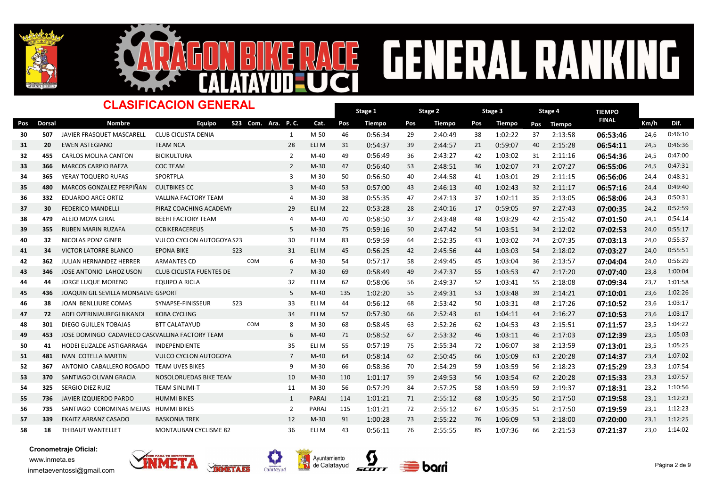



# RACE GENERAL RANKING

#### Dorsal Nombre TIEMPO -<br>Pos Dorsal Nombre Equipo S23 Com. Ara. P.C. Cat. Pos Tiempo Pos Tiempo Pos Tiempo Pos Tiempo <sup>FINAL</sup> Km/h Dif. Stage 1 Pos Tiempo Pos Tiempo Pos Tiempo Pos Tiempo Dinasta Km/h Stage 2 Pos Tiempo Stage 3 Pos Tiempo CLASIFICACION GENERAL S23 Com. Ara. P. C. Stage 4 Pos Tiempo <sup>30</sup> <sup>507</sup> JAVIER FRASQUET MASCARELL CLUB CICLISTA DENIA M-50 46 1 37 0:56:34 <sup>29</sup> 2:40:49 <sup>38</sup> 1:02:22 2:13:58 06:53:46 24,6 0:46:10 <sup>31</sup> <sup>20</sup> EWEN ASTEGIANO TEAM NCA ELI M 31 28 40 0:54:37 <sup>39</sup> 2:44:57 <sup>21</sup> 0:59:07 2:15:28 06:54:11 24,5 0:46:36 32 455 CARLOS MOLINA CANTON BICIKULTURA 19 14-40 49 0:56:49 36 2:43:27 42 1:03:02 31 2:11:16 06:54:36 24,5 0:47:00 33 366 MARCOS CARPIO BAEZA COC TEAM **Mateura 2 teads and the set of the contract of the set of the set of the set of the set of the set of the set of the set of the set of the set of the set of the set of the set of the se** 34 365 YERAY<code>TOQUERO</code> RUFAS SPORTPLA M-30 3 M-30 50 0:56:50 40 2:44:58 41 1:03:01 29 2:11:15 06:56:06 24,4 0:48:31 35 480 MARCOS GONZALEZ PERPIÑAN CULTBIKES CC 1999 10 1-40 53 0:57:00 43 2:46:13 40 1:02:43 32 2:11:17 06:57:16 24,4 36 332 EDUARDO ARCE ORTIZ VALLINA FACTORY TEAM 1 4 M-30 38 0:55:35 47 2:47:13 37 1:02:11 35 2:13:05 06:58:06 24,3 0:50:31 37 30 FEDERICO MANDELLI PIRAZ COACHING ACADEMY 29 ELI M 22 0:53:28 28 2:40:16 17 0:59:05 97 2:27:43 <mark>07:00:35</mark> 24,2 0:52:59 38 479 ALEJO<code>MOYA</code> GIRAL BEEHI FACTORY TEAM  $\,$  4  $\,$  M-40 70 0:58:50 37 2:43:48 48 1:03:29 42 2:15:42 07:01:50 24,1 0:54:14 <sup>39</sup> <sup>355</sup> RUBEN MARIN RUZAFA CCBIKERACEREUS M-30 75 5 34 0:59:16 <sup>50</sup> 2:47:42 <sup>54</sup> 1:03:51 2:12:02 07:02:53 24,0 0:55:17 40 32 NICOLAS PONZ GINER VULCO CYCLON AUTOGOYA S23 30 ELI M 83 0:59:59 64 2:52:35 43 1:03:02 24 2:07:35 07:03:13 24,0 0:55:37 41 34 VICTORILATORRE BLANCO EPONA BIKE 523 31 ELI M 45 0:56:25 42 2:45:56 44 1:03:03 54 2:18:02 **07:03:27** 24,0 0:55:51 <sup>42</sup> <sup>362</sup> JULIAN HERNANDEZ HERRER ARMANTES CD M-30 54 COM 6 36 0:57:17 <sup>58</sup> 2:49:45 <sup>45</sup> 1:03:04 2:13:57 07:04:04 24,0 0:56:29 43 346 JOSE ANTONIO LAHOZ USON CLUB CICLISTA FUENTES DE EBRO 7 M-30 69 0:58:49 49 2:47:37 55 1:03:53 47 2:17:20 <mark>07:07:40</mark> 23,8 1:00:04 44 44 JORGE LUQUE MORENO BOUIPO A RICLA 20 20 20 58:06 56 2:49:37 52 1:03:41 55 2:18:08 **07:09:34** 23,7 1:01:58 45 436 JOAQUIN GIL SEVILLA MONSALVE GSPORT 6 1:02:20 55 M-40 135 1:02:20 55 2:49:31 53 1:03:48 39 2:14:21 07:10:01 23.6 1:02:26 46 38 JOAN BENLLIURE COMAS SYNAPSE-FINISSEUR S23 33 ELI M 44 0:56:12 68 2:53:42 50 1:03:31 48 2:17:26 **07:10:52** 23,6 1:03:17 <sup>47</sup> <sup>72</sup> ADEI OZERINJAUREGI BIKANDI KOBA CYCLING ELI M 57 34 44 0:57:30 <sup>66</sup> 2:52:43 <sup>61</sup> 1:04:11 2:16:27 07:10:53 23,6 1:03:17 48 301 DIEGO GUILLENTOBAJAS BTT CALATAYUD 8 M-30 68 0:58:45 63 2:52:26 62 1:04:53 43 2:15:51 **07:11:57** 23,5 1:04:22 49 453 JOSE DOMINGO CADAVIECO CASCVALLINA FACTORY TEAM 6 M-40 71 0:58:52 67 2:53:32 46 1:03:11 46 2:17:03 07:12:39 23,5 1:05:03 50 41 HODEI ELIZALDE ASTIGARRAGA INDEPENDIENTE 35 ELI M 55 0:57:19 75 2:55:34 72 1:06:07 38 2:13:59 **07:13:01** 23,5 1:05:25 51 481 IVAN COTELLA $M$ ARTIN VULCO CYCLON AUTOGOYA 7 M-40 64 0:58:14 62 2:50:45 66 1:05:09 63 2:20:28 **07:14:37** 23,4 1:07:02 52 367 ANTONIO CABALLERO<code>ROGADO TEAM</code> UVES<code>BIKES 9 M-30</code> 66 0:58:36 70 2:54:29 59 1:03:59 56 2:18:23 07:15:29 23,3 1:07:54 53 370 SANTIAGO OLIVAN GRACIA NOSOLORUEDAS BIKE TEAN 10 M-30 110 1:01:17 59 2:49:53 56 1:03:54 62 2:20:28 **07:15:33** 23,3 1:07:57 54 325 SERGIO DIEZ RUIZ TEAM SINLIMI-T 11 M-30 56 0:57:29 84 2:57:25 58 1:03:59 59 2:19:37 **07:18:31** 23,2 1:10:56 55 736 JAVIERIZQUIERDO<code>PARDO</code> HUMMI<code>BIKES</code> entitled to the paraj 114 1:01:21 71 2:55:12 68 1:05:35 50 2:17:50 **07:19:58** 23,1 1:12:23 56 735 SANTIAGO COROMINAS MEJIAS HUMMI BIKES **PARAJ 115 1:01:21 72 2:55:12** 67 1:05:35 51 2:17:50 07:19:59 23,1 1:12:23 57 339 EKAITZ ARRANZ CASADO BASKONIA TREK 12 M-30 91 1:00:28 73 2:55:22 76 1:06:09 53 2:18:00 <mark>07:20:00</mark> 23,1 1:12:25 58 18 THIBAUT WANTELLET MONTAUBAN CYCLISME 82 36 ELI M 43 0:56:11 76 2:55:55 85 1:07:36 66 2:21:53 **07:21:37** 23,0 1:14:02





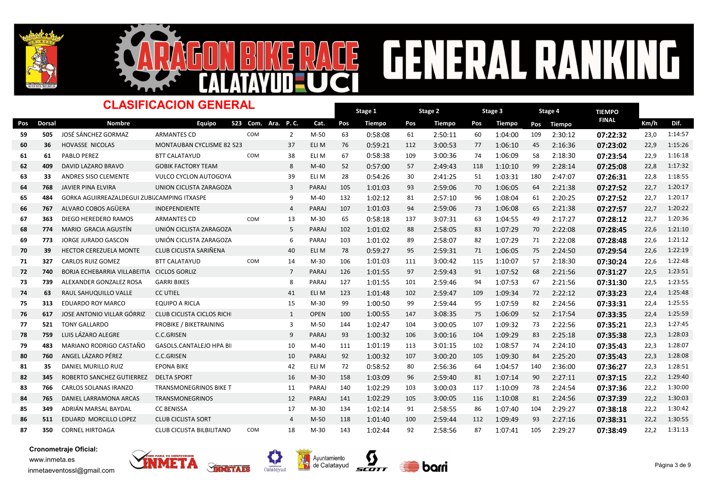



### **CENERAL RA** NG E  $\frac{1}{2}$

|     | <b>CLASIFICACION GENERAL</b> |                                             |                                  |                    |                |              |     | Stage 1       |     | Stage 2       |     | Stage 3 | Stage 4 |               | <b>TIEMPO</b> |      |         |
|-----|------------------------------|---------------------------------------------|----------------------------------|--------------------|----------------|--------------|-----|---------------|-----|---------------|-----|---------|---------|---------------|---------------|------|---------|
| Pos | <b>Dorsal</b>                | <b>Nombre</b>                               | <b>Equipo</b>                    | S23 Com. Ara. P.C. |                | Cat.         | Pos | <b>Tiempo</b> | Pos | <b>Tiempo</b> | Pos | Tiempo  | Pos     | <b>Tiempo</b> | <b>FINAL</b>  | Km/h | Dif.    |
| 59  | 505                          | JOSÉ SÁNCHEZ GORMAZ                         | <b>ARMANTES CD</b>               | COM                | $\overline{2}$ | M-50         | 63  | 0:58:08       | 61  | 2:50:11       | 60  | 1:04:00 | 109     | 2:30:12       | 07:22:32      | 23,0 | 1:14:57 |
| 60  | 36                           | <b>HOVASSE NICOLAS</b>                      | <b>MONTAUBAN CYCLISME 82 S23</b> |                    | 37             | ELI M        | 76  | 0:59:21       | 112 | 3:00:53       | 77  | 1:06:10 | 45      | 2:16:36       | 07:23:02      | 22,9 | 1:15:26 |
| 61  | 61                           | PABLO PEREZ                                 | <b>BTT CALATAYUD</b>             | COM                | 38             | ELI M        | 67  | 0:58:38       | 109 | 3:00:36       | 74  | 1:06:09 | 58      | 2:18:30       | 07:23:54      | 22,9 | 1:16:18 |
| 62  | 409                          | DAVID LAZARO BRAVO                          | <b>GOBIK FACTORY TEAM</b>        |                    | 8              | $M-40$       | 52  | 0:57:00       | 57  | 2:49:43       | 118 | 1:10:10 | 99      | 2:28:14       | 07:25:08      | 22,8 | 1:17:32 |
| 63  | 33                           | ANDRES SISO CLEMENTE                        | <b>VULCO CYCLON AUTOGOYA</b>     |                    | 39             | ELI M        | 28  | 0:54:26       | 30  | 2:41:25       | 51  | 1:03:31 | 180     | 2:47:07       | 07:26:31      | 22,8 | 1:18:55 |
| 64  | 768                          | <b>JAVIER PINA ELVIRA</b>                   | UNION CICLISTA ZARAGOZA          |                    | 3              | PARAJ        | 105 | 1:01:03       | 93  | 2:59:06       | 70  | 1:06:05 | 64      | 2:21:38       | 07:27:52      | 22,7 | 1:20:17 |
| 65  | 484                          | GORKA AGUIRREAZALDEGUI ZUBIZCAMPING ITXASPE |                                  |                    | 9              | $M-40$       | 132 | 1:02:12       | 81  | 2:57:10       | 96  | 1:08:04 | 61      | 2:20:25       | 07:27:52      | 22,7 | 1:20:17 |
| 66  | 767                          | ALVARO COBOS AGÜERA                         | INDEPENDIENTE                    |                    | $\overline{4}$ | PARAJ        | 107 | 1:01:03       | 94  | 2:59:06       | 73  | 1:06:08 | 65      | 2:21:38       | 07:27:57      | 22,7 | 1:20:22 |
| 67  | 363                          | DIEGO HEREDERO RAMOS                        | <b>ARMANTES CD</b>               | COM                | 13             | $M-30$       | 65  | 0:58:18       | 137 | 3:07:31       | 63  | 1:04:55 | 49      | 2:17:27       | 07:28:12      | 22,7 | 1:20:36 |
| 68  | 774                          | MARIO GRACIA AGUSTÍN                        | UNIÓN CICLISTA ZARAGOZA          |                    | 5              | PARAJ        | 102 | 1:01:02       | 88  | 2:58:05       | 83  | 1:07:29 | 70      | 2:22:08       | 07:28:45      | 22,6 | 1:21:10 |
| 69  | 773                          | JORGE JURADO GASCON                         | UNIÓN CICLISTA ZARAGOZA          |                    | 6              | PARAJ        | 103 | 1:01:02       | 89  | 2:58:07       | 82  | 1:07:29 | 71      | 2:22:08       | 07:28:48      | 22,6 | 1:21:12 |
| 70  | 39                           | <b>HECTOR CEREZUELA MONTE</b>               | CLUB CICLISTA SARIÑENA           |                    | 40             | ELI M        | 78  | 0:59:27       | 95  | 2:59:31       | 71  | 1:06:05 | 75      | 2:24:50       | 07:29:54      | 22,6 | 1:22:19 |
| 71  | 327                          | <b>CARLOS RUIZ GOMEZ</b>                    | <b>BTT CALATAYUD</b>             | COM                | 14             | $M-30$       | 106 | 1:01:03       | 111 | 3:00:42       | 115 | 1:10:07 | 57      | 2:18:30       | 07:30:24      | 22,6 | 1:22:48 |
| 72  | 740                          | BORJA ECHEBARRIA VILLABEITIA CICLOS GORLIZ  |                                  |                    | $\overline{7}$ | <b>PARAJ</b> | 126 | 1:01:55       | 97  | 2:59:43       | 91  | 1:07:52 | 68      | 2:21:56       | 07:31:27      | 22,5 | 1:23:51 |
| 73  | 739                          | ALEXANDER GONZALEZ ROSA                     | <b>GARRI BIKES</b>               |                    | 8              | PARAJ        | 127 | 1:01:55       | 101 | 2:59:46       | 94  | 1:07:53 | 67      | 2:21:56       | 07:31:30      | 22,5 | 1:23:55 |
| 74  | 63                           | RAUL SAHUQUILLO VALLE                       | <b>CC UTIEL</b>                  |                    | 41             | ELI M        | 123 | 1:01:48       | 102 | 2:59:47       | 109 | 1:09:34 | 72      | 2:22:12       | 07:33:23      | 22,4 | 1:25:48 |
| 75  | 313                          | <b>EDUARDO ROY MARCO</b>                    | <b>EQUIPO A RICLA</b>            |                    | 15             | $M-30$       | 99  | 1:00:50       | 99  | 2:59:44       | 95  | 1:07:59 | 82      | 2:24:56       | 07:33:31      | 22,4 | 1:25:55 |
| 76  | 617                          | JOSE ANTONIO VILLAR GÓRRIZ                  | <b>CLUB CICLISTA CICLOS RICH</b> |                    | 1              | <b>OPEN</b>  | 100 | 1:00:55       | 147 | 3:08:35       | 75  | 1:06:09 | 52      | 2:17:54       | 07:33:35      | 22,4 | 1:25:59 |
| 77  | 521                          | <b>TONY GALLARDO</b>                        | PROBIKE / BIKETRAINING           |                    | 3              | M-50         | 144 | 1:02:47       | 104 | 3:00:05       | 107 | 1:09:32 | 73      | 2:22:56       | 07:35:21      | 22,3 | 1:27:45 |
| 78  | 759                          | LUIS LÁZARO ALEGRE                          | <b>C.C.GRISEN</b>                |                    | 9              | PARAJ        | 93  | 1:00:32       | 106 | 3:00:16       | 104 | 1:09:29 | 83      | 2:25:18       | 07:35:38      | 22,3 | 1:28:03 |
| 79  | 483                          | MARIANO RODRIGO CASTAÑO                     | <b>GASOLS.CANTALEJO HPA BI</b>   |                    | 10             | $M-40$       | 111 | 1:01:19       | 113 | 3:01:15       | 102 | 1:08:57 | 74      | 2:24:10       | 07:35:43      | 22,3 | 1:28:07 |
| 80  | 760                          | ANGEL LÁZARO PÉREZ                          | <b>C.C.GRISEN</b>                |                    | 10             | PARAJ        | 92  | 1:00:32       | 107 | 3:00:20       | 105 | 1:09:30 | 84      | 2:25:20       | 07:35:43      | 22,3 | 1:28:08 |
| 81  | 35                           | DANIEL MURILLO RUIZ                         | <b>EPONA BIKE</b>                |                    | 42             | ELI M        | 72  | 0:58:52       | 80  | 2:56:36       | 64  | 1:04:57 | 140     | 2:36:00       | 07:36:27      | 22,3 | 1:28:51 |
| 82  | 345                          | ROBERTO SANCHEZ GUTIERREZ                   | <b>DELTA SPORT</b>               |                    | 16             | $M-30$       | 158 | 1:03:09       | 96  | 2:59:40       | 81  | 1:07:14 | 90      | 2:27:11       | 07:37:15      | 22,2 | 1:29:40 |
| 83  | 766                          | CARLOS SOLANAS IRANZO                       | <b>TRANSMONEGRINOS BIKE T</b>    |                    | 11             | PARAJ        | 140 | 1:02:29       | 103 | 3:00:03       | 117 | 1:10:09 | 78      | 2:24:54       | 07:37:36      | 22,2 | 1:30:00 |
| 84  | 765                          | DANIEL LARRAMONA ARCAS                      | <b>TRANSMONEGRINOS</b>           |                    | 12             | PARAJ        | 141 | 1:02:29       | 105 | 3:00:05       | 116 | 1:10:08 | 81      | 2:24:56       | 07:37:39      | 22,2 | 1:30:03 |
| 85  | 349                          | ADRIÁN MARSAL BAYDAL                        | <b>CC BENISSA</b>                |                    | 17             | $M-30$       | 134 | 1:02:14       | 91  | 2:58:55       | 86  | 1:07:40 | 104     | 2:29:27       | 07:38:18      | 22,2 | 1:30:42 |
| 86  | 511                          | EDUARD MORCILLO LOPEZ                       | <b>CLUB CICLISTA SORT</b>        |                    | $\overline{4}$ | $M-50$       | 118 | 1:01:40       | 100 | 2:59:44       | 112 | 1:09:49 | 93      | 2:27:16       | 07:38:31      | 22,2 | 1:30:55 |
| 87  | 350                          | <b>CORNEL HIRTOAGA</b>                      | CLUB CICLISTA BILBILITANO        | COM                | 18             | $M-30$       | 143 | 1:02:44       | 92  | 2:58:56       | 87  | 1:07:41 | 105     | 2:29:27       | 07:38:49      | 22,2 | 1:31:13 |

Ц







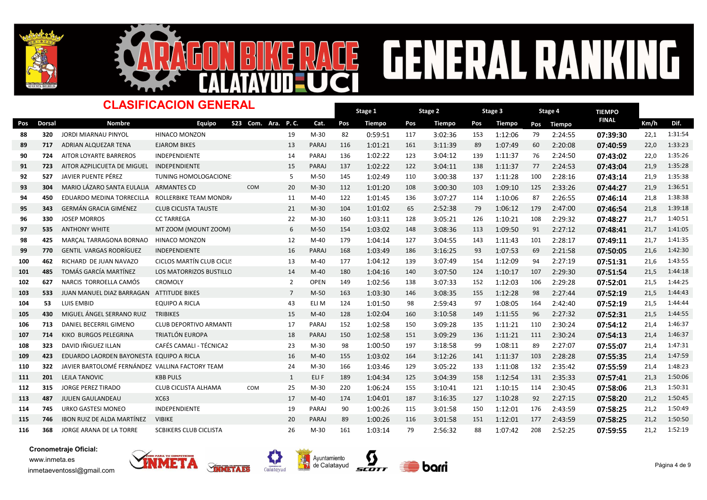



## GENERAL RANK NG  $\overline{\mathbf{E}}$

|     |               | <b>CLASIFICACION GENERAL</b>                    |                                  | Stage 1            |                |              | Stage 2 |               | Stage 3 |               | Stage 4    | <b>TIEMPO</b> |     |               |              |      |         |
|-----|---------------|-------------------------------------------------|----------------------------------|--------------------|----------------|--------------|---------|---------------|---------|---------------|------------|---------------|-----|---------------|--------------|------|---------|
| Pos | <b>Dorsal</b> | <b>Nombre</b>                                   | Eauipo                           | S23 Com. Ara. P.C. |                | Cat.         | Pos     | <b>Tiempo</b> | Pos     | <b>Tiempo</b> | <b>Pos</b> | <b>Tiempo</b> | Pos | <b>Tiempo</b> | <b>FINAL</b> | Km/h | Dif.    |
| 88  | 320           | <b>JORDI MIARNAU PINYOL</b>                     | <b>HINACO MONZON</b>             |                    | 19             | $M-30$       | 82      | 0:59:51       | 117     | 3:02:36       | 153        | 1:12:06       | 79  | 2:24:55       | 07:39:30     | 22,1 | 1:31:54 |
| 89  | 717           | ADRIAN ALQUEZAR TENA                            | <b>EJAROM BIKES</b>              |                    | 13             | PARAJ        | 116     | 1:01:21       | 161     | 3:11:39       | 89         | 1:07:49       | 60  | 2:20:08       | 07:40:59     | 22,0 | 1:33:23 |
| 90  | 724           | AITOR LOYARTE BARREROS                          | <b>INDEPENDIENTE</b>             |                    | 14             | PARAJ        | 136     | 1:02:22       | 123     | 3:04:12       | 139        | 1:11:37       | 76  | 2:24:50       | 07:43:02     | 22,0 | 1:35:26 |
| 91  | 723           | AITOR AZPILICUETA DE MIGUEL INDEPENDIENTE       |                                  |                    | 15             | PARAJ        | 137     | 1:02:22       | 122     | 3:04:11       | 138        | 1:11:37       | 77  | 2:24:53       | 07:43:04     | 21,9 | 1:35:28 |
| 92  | 527           | JAVIER PUENTE PÉREZ                             | <b>TUNING HOMOLOGACIONE</b>      |                    | 5              | $M-50$       | 145     | 1:02:49       | 110     | 3:00:38       | 137        | 1:11:28       | 100 | 2:28:16       | 07:43:14     | 21,9 | 1:35:38 |
| 93  | 304           | MARIO LÁZARO SANTA EULALIA ARMANTES CD          |                                  | <b>COM</b>         | 20             | $M-30$       | 112     | 1:01:20       | 108     | 3:00:30       | 103        | 1:09:10       | 125 | 2:33:26       | 07:44:27     | 21,9 | 1:36:51 |
| 94  | 450           | EDUARDO MEDINA TORRECILLA                       | ROLLERBIKE TEAM MONDR            |                    | 11             | $M-40$       | 122     | 1:01:45       | 136     | 3:07:27       | 114        | 1:10:06       | 87  | 2:26:55       | 07:46:14     | 21,8 | 1:38:38 |
| 95  | 343           | <b>GERMÁN GRACIA GIMÉNEZ</b>                    | <b>CLUB CICLISTA TAUSTE</b>      |                    | 21             | $M-30$       | 104     | 1:01:02       | 65      | 2:52:38       | 79         | 1:06:12       | 179 | 2:47:00       | 07:46:54     | 21,8 | 1:39:18 |
| 96  | 330           | <b>JOSEP MORROS</b>                             | <b>CC TARREGA</b>                |                    | 22             | $M-30$       | 160     | 1:03:11       | 128     | 3:05:21       | 126        | 1:10:21       | 108 | 2:29:32       | 07:48:27     | 21,7 | 1:40:51 |
| 97  | 535           | <b>ANTHONY WHITE</b>                            | MT ZOOM (MOUNT ZOOM)             |                    | 6              | $M-50$       | 154     | 1:03:02       | 148     | 3:08:36       | 113        | 1:09:50       | 91  | 2:27:12       | 07:48:41     | 21,7 | 1:41:05 |
| 98  | 425           | MARCAL TARRAGONA BORNAO                         | HINACO MONZON                    |                    | 12             | $M-40$       | 179     | 1:04:14       | 127     | 3:04:55       | 143        | 1:11:43       | 101 | 2:28:17       | 07:49:11     | 21,7 | 1:41:35 |
| 99  | 770           | <b>GENTIL VARGAS RODRÍGUEZ</b>                  | <b>INDEPENDIENTE</b>             |                    | 16             | PARAJ        | 168     | 1:03:49       | 186     | 3:16:25       | 93         | 1:07:53       | 69  | 2:21:58       | 07:50:05     | 21,6 | 1:42:30 |
| 100 | 462           | RICHARD DE JUAN NAVAZO                          | <b>CICLOS MARTÍN CLUB CICLIS</b> |                    | 13             | $M-40$       | 177     | 1:04:12       | 139     | 3:07:49       | 154        | 1:12:09       | 94  | 2:27:19       | 07:51:31     | 21,6 | 1:43:55 |
| 101 | 485           | TOMÁS GARCÍA MARTÍNEZ                           | LOS MATORRIZOS BUSTILLC          |                    | 14             | $M-40$       | 180     | 1:04:16       | 140     | 3:07:50       | 124        | 1:10:17       | 107 | 2:29:30       | 07:51:54     | 21,5 | 1:44:18 |
| 102 | 627           | NARCIS TORROELLA CAMÓS                          | <b>CROMOLY</b>                   |                    | $\overline{2}$ | <b>OPEN</b>  | 149     | 1:02:56       | 138     | 3:07:33       | 152        | 1:12:03       | 106 | 2:29:28       | 07:52:01     | 21,5 | 1:44:25 |
| 103 | 533           | JUAN MANUEL DIAZ BARRAGAN                       | <b>ATTITUDE BIKES</b>            |                    | $\overline{7}$ | $M-50$       | 163     | 1:03:30       | 146     | 3:08:35       | 155        | 1:12:28       | 98  | 2:27:44       | 07:52:19     | 21,5 | 1:44:43 |
| 104 | 53            | <b>LUIS EMBID</b>                               | <b>EQUIPO A RICLA</b>            |                    | 43             | ELI M        | 124     | 1:01:50       | 98      | 2:59:43       | 97         | 1:08:05       | 164 | 2:42:40       | 07:52:19     | 21,5 | 1:44:44 |
| 105 | 430           | MIGUEL ÁNGEL SERRANO RUIZ                       | <b>TRIBIKES</b>                  |                    | 15             | $M-40$       | 128     | 1:02:04       | 160     | 3:10:58       | 149        | 1:11:55       | 96  | 2:27:32       | 07:52:31     | 21,5 | 1:44:55 |
| 106 | 713           | DANIEL BECERRIL GIMENO                          | <b>CLUB DEPORTIVO ARMANTI</b>    |                    | 17             | PARAJ        | 152     | 1:02:58       | 150     | 3:09:28       | 135        | 1:11:21       | 110 | 2:30:24       | 07:54:12     | 21,4 | 1:46:37 |
| 107 | 714           | KIKO BURGOS PELEGRINA                           | TRIATLÓN EUROPA                  |                    | 18             | <b>PARAJ</b> | 150     | 1:02:58       | 151     | 3:09:29       | 136        | 1:11:21       | 111 | 2:30:24       | 07:54:13     | 21,4 | 1:46:37 |
| 108 | 323           | DAVID IÑIGUEZ ILLAN                             | <b>CAFÉS CAMALI - TÉCNICA2</b>   |                    | 23             | $M-30$       | 98      | 1:00:50       | 197     | 3:18:58       | 99         | 1:08:11       | 89  | 2:27:07       | 07:55:07     | 21,4 | 1:47:31 |
| 109 | 423           | EDUARDO LAORDEN BAYONESTA EQUIPO A RICLA        |                                  |                    | 16             | $M-40$       | 155     | 1:03:02       | 164     | 3:12:26       | 141        | 1:11:37       | 103 | 2:28:28       | 07:55:35     | 21,4 | 1:47:59 |
| 110 | 322           | JAVIER BARTOLOMÉ FERNÁNDEZ VALLINA FACTORY TEAM |                                  |                    | 24             | $M-30$       | 166     | 1:03:46       | 129     | 3:05:22       | 133        | 1:11:08       | 132 | 2:35:42       | 07:55:59     | 21,4 | 1:48:23 |
| 111 | 201           | LEJLA TANOVIC                                   | <b>KBB PULS</b>                  |                    | $\mathbf{1}$   | ELI F        | 189     | 1:04:34       | 125     | 3:04:39       | 158        | 1:12:54       | 131 | 2:35:33       | 07:57:41     | 21,3 | 1:50:06 |
| 112 | 315           | <b>JORGE PEREZ TIRADO</b>                       | CLUB CICLISTA ALHAMA             | COM                | 25             | $M-30$       | 220     | 1:06:24       | 155     | 3:10:41       | 121        | 1:10:15       | 114 | 2:30:45       | 07:58:06     | 21,3 | 1:50:31 |
| 113 | 487           | <b>JULIEN GAULANDEAU</b>                        | <b>XC63</b>                      |                    | 17             | $M-40$       | 174     | 1:04:01       | 187     | 3:16:35       | 127        | 1:10:28       | 92  | 2:27:15       | 07:58:20     | 21,2 | 1:50:45 |
| 114 | 745           | URKO GASTESI MONEO                              | <b>INDEPENDIENTE</b>             |                    | 19             | PARAJ        | 90      | 1:00:26       | 115     | 3:01:58       | 150        | 1:12:01       | 176 | 2:43:59       | 07:58:25     | 21,2 | 1:50:49 |
| 115 | 746           | <b>IBON RUIZ DE ALDA MARTÍNEZ</b>               | <b>VIBIKE</b>                    |                    | 20             | <b>PARAJ</b> | 89      | 1:00:26       | 116     | 3:01:58       | 151        | 1:12:01       | 177 | 2:43:59       | 07:58:25     | 21,2 | 1:50:50 |
| 116 | 368           | JORGE ARANA DE LA TORRE                         | <b>SCBIKERS CLUB CICLISTA</b>    |                    | 26             | $M-30$       | 161     | 1:03:14       | 79      | 2:56:32       | 88         | 1:07:42       | 208 | 2:52:25       | 07:59:55     | 21,2 | 1:52:19 |

q





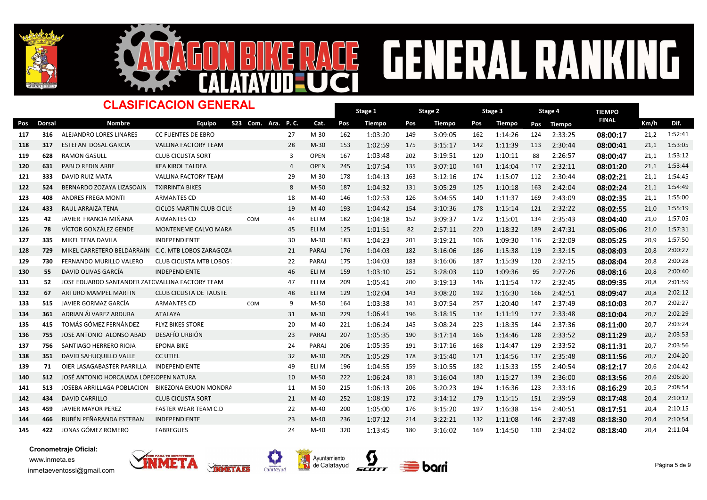



## **GENERAL RANKI** NG **CE**

|     | <b>CLASIFICACION GENERAL</b> |                                                    |                                |                    |                |              |     | Stage 1 |     | Stage 2 |     | Stage 3 |     | Stage 4 | <b>TIEMPO</b> |      |         |
|-----|------------------------------|----------------------------------------------------|--------------------------------|--------------------|----------------|--------------|-----|---------|-----|---------|-----|---------|-----|---------|---------------|------|---------|
| Pos | <b>Dorsal</b>                | <b>Nombre</b>                                      | Equipo                         | S23 Com. Ara. P.C. |                | Cat.         | Pos | Tiempo  | Pos | Tiempo  | Pos | Tiempo  | Pos | Tiempo  | <b>FINAL</b>  | Km/h | Dif.    |
| 117 | 316                          | ALEJANDRO LORES LINARES                            | <b>CC FUENTES DE EBRO</b>      |                    | 27             | $M-30$       | 162 | 1:03:20 | 149 | 3:09:05 | 162 | 1:14:26 | 124 | 2:33:25 | 08:00:17      | 21,2 | 1:52:41 |
| 118 | 317                          | <b>ESTEFAN DOSAL GARCIA</b>                        | <b>VALLINA FACTORY TEAM</b>    |                    | 28             | $M-30$       | 153 | 1:02:59 | 175 | 3:15:17 | 142 | 1:11:39 | 113 | 2:30:44 | 08:00:41      | 21,1 | 1:53:05 |
| 119 | 628                          | <b>RAMON GASULL</b>                                | <b>CLUB CICLISTA SORT</b>      |                    | 3              | <b>OPEN</b>  | 167 | 1:03:48 | 202 | 3:19:51 | 120 | 1:10:11 | 88  | 2:26:57 | 08:00:47      | 21,1 | 1:53:12 |
| 120 | 631                          | <b>PABLO REDIN ARBE</b>                            | <b>KEA KIROL TALDEA</b>        |                    | $\overline{4}$ | <b>OPEN</b>  | 245 | 1:07:54 | 135 | 3:07:10 | 161 | 1:14:04 | 117 | 2:32:11 | 08:01:20      | 21,1 | 1:53:44 |
| 121 | 333                          | <b>DAVID RUIZ MATA</b>                             | VALLINA FACTORY TEAM           |                    | 29             | $M-30$       | 178 | 1:04:13 | 163 | 3:12:16 | 174 | 1:15:07 | 112 | 2:30:44 | 08:02:21      | 21,1 | 1:54:45 |
| 122 | 524                          | BERNARDO ZOZAYA LIZASOAIN                          | <b>TXIRRINTA BIKES</b>         |                    | 8              | $M-50$       | 187 | 1:04:32 | 131 | 3:05:29 | 125 | 1:10:18 | 163 | 2:42:04 | 08:02:24      | 21,1 | 1:54:49 |
| 123 | 408                          | <b>ANDRES FREGA MONTI</b>                          | <b>ARMANTES CD</b>             |                    | 18             | $M-40$       | 146 | 1:02:53 | 126 | 3:04:55 | 140 | 1:11:37 | 169 | 2:43:09 | 08:02:35      | 21,1 | 1:55:00 |
| 124 | 433                          | RAUL ARRAIZA TENA                                  | CICLOS MARTIN CLUB CICLIS      |                    | 19             | $M-40$       | 193 | 1:04:42 | 154 | 3:10:36 | 178 | 1:15:14 | 121 | 2:32:22 | 08:02:55      | 21,0 | 1:55:19 |
| 125 | 42                           | JAVIER FRANCIA MIÑANA                              | <b>ARMANTES CD</b>             | COM                | 44             | ELI M        | 182 | 1:04:18 | 152 | 3:09:37 | 172 | 1:15:01 | 134 | 2:35:43 | 08:04:40      | 21,0 | 1:57:05 |
| 126 | 78                           | VÍCTOR GONZÁLEZ GENDE                              | MONTENEME CALVO MARA           |                    | 45             | ELI M        | 125 | 1:01:51 | 82  | 2:57:11 | 220 | 1:18:32 | 189 | 2:47:31 | 08:05:06      | 21,0 | 1:57:31 |
| 127 | 335                          | MIKEL TENA DAVILA                                  | <b>INDEPENDIENTE</b>           |                    | 30             | $M-30$       | 183 | 1:04:23 | 201 | 3:19:21 | 106 | 1:09:30 | 116 | 2:32:09 | 08:05:25      | 20,9 | 1:57:50 |
| 128 | 729                          | MIKEL CARRETERO BELDARRAIN C.C. MTB LOBOS ZARAGOZA |                                |                    | 21             | PARAJ        | 176 | 1:04:03 | 182 | 3:16:06 | 186 | 1:15:38 | 119 | 2:32:15 | 08:08:03      | 20,8 | 2:00:27 |
| 129 | 730                          | FERNANDO MURILLO VALERO                            | CLUB CICLISTA MTB LOBOS        |                    | 22             | PARAJ        | 175 | 1:04:03 | 183 | 3:16:06 | 187 | 1:15:39 | 120 | 2:32:15 | 08:08:04      | 20,8 | 2:00:28 |
| 130 | 55                           | DAVID OLIVAS GARCÍA                                | <b>INDEPENDIENTE</b>           |                    | 46             | ELI M        | 159 | 1:03:10 | 251 | 3:28:03 | 110 | 1:09:36 | 95  | 2:27:26 | 08:08:16      | 20,8 | 2:00:40 |
| 131 | 52                           | JOSE EDUARDO SANTANDER ZATOVALLINA FACTORY TEAM    |                                |                    | 47             | ELI M        | 209 | 1:05:41 | 200 | 3:19:13 | 146 | 1:11:54 | 122 | 2:32:45 | 08:09:35      | 20,8 | 2:01:59 |
| 132 | 67                           | ARTURO MAMPEL MARTIN                               | <b>CLUB CICLISTA DE TAUSTE</b> |                    | 48             | ELI M        | 129 | 1:02:04 | 143 | 3:08:20 | 192 | 1:16:30 | 166 | 2:42:51 | 08:09:47      | 20,8 | 2:02:12 |
| 133 | 515                          | JAVIER GORMAZ GARCÍA                               | <b>ARMANTES CD</b>             | COM                | 9              | $M-50$       | 164 | 1:03:38 | 141 | 3:07:54 | 257 | 1:20:40 | 147 | 2:37:49 | 08:10:03      | 20,7 | 2:02:27 |
| 134 | 361                          | ADRIAN ÁLVAREZ ARDURA                              | <b>ATALAYA</b>                 |                    | 31             | $M-30$       | 229 | 1:06:41 | 196 | 3:18:15 | 134 | 1:11:19 | 127 | 2:33:48 | 08:10:04      | 20,7 | 2:02:29 |
| 135 | 415                          | TOMÁS GÓMEZ FERNÁNDEZ                              | <b>FLYZ BIKES STORE</b>        |                    | 20             | $M-40$       | 221 | 1:06:24 | 145 | 3:08:24 | 223 | 1:18:35 | 144 | 2:37:36 | 08:11:00      | 20,7 | 2:03:24 |
| 136 | 755                          | JOSE ANTONIO ALONSO ABAD                           | DESAFÍO URBIÓN                 |                    | 23             | <b>PARAJ</b> | 207 | 1:05:35 | 190 | 3:17:14 | 166 | 1:14:46 | 128 | 2:33:52 | 08:11:29      | 20,7 | 2:03:53 |
| 137 | 756                          | SANTIAGO HERRERO RIOJA                             | <b>EPONA BIKE</b>              |                    | 24             | PARAJ        | 206 | 1:05:35 | 191 | 3:17:16 | 168 | 1:14:47 | 129 | 2:33:52 | 08:11:31      | 20,7 | 2:03:56 |
| 138 | 351                          | DAVID SAHUQUILLO VALLE                             | <b>CC UTIEL</b>                |                    | 32             | $M-30$       | 205 | 1:05:29 | 178 | 3:15:40 | 171 | 1:14:56 | 137 | 2:35:48 | 08:11:56      | 20,7 | 2:04:20 |
| 139 | 71                           | OIER LASAGABASTER PARRILLA                         | <b>INDEPENDIENTE</b>           |                    | 49             | ELI M        | 196 | 1:04:55 | 159 | 3:10:55 | 182 | 1:15:33 | 155 | 2:40:54 | 08:12:17      | 20,6 | 2:04:42 |
| 140 | 512                          | JOSÉ ANTONIO HORCAJADA LÓPEZOPEN NATURA            |                                |                    | 10             | $M-50$       | 222 | 1:06:24 | 181 | 3:16:04 | 180 | 1:15:27 | 139 | 2:36:00 | 08:13:56      | 20,6 | 2:06:20 |
| 141 | 513                          | JOSEBA ARRILLAGA POBLACION                         | BIKEZONA EKUON MONDRA          |                    | 11             | $M-50$       | 215 | 1:06:13 | 206 | 3:20:23 | 194 | 1:16:36 | 123 | 2:33:16 | 08:16:29      | 20,5 | 2:08:54 |
| 142 | 434                          | <b>DAVID CARRILLO</b>                              | <b>CLUB CICLISTA SORT</b>      |                    | 21             | $M-40$       | 252 | 1:08:19 | 172 | 3:14:12 | 179 | 1:15:15 | 151 | 2:39:59 | 08:17:48      | 20,4 | 2:10:12 |
| 143 | 459                          | <b>JAVIER MAYOR PEREZ</b>                          | <b>FASTER WEAR TEAM C.D</b>    |                    | 22             | $M-40$       | 200 | 1:05:00 | 176 | 3:15:20 | 197 | 1:16:38 | 154 | 2:40:51 | 08:17:51      | 20,4 | 2:10:15 |
| 144 | 466                          | RUBÉN PEÑARANDA ESTEBAN                            | <b>INDEPENDIENTE</b>           |                    | 23             | $M-40$       | 236 | 1:07:12 | 214 | 3:22:21 | 132 | 1:11:08 | 146 | 2:37:48 | 08:18:30      | 20,4 | 2:10:54 |
| 145 | 422                          | JONAS GÓMEZ ROMERO                                 | <b>FABREGUES</b>               |                    | 24             | $M-40$       | 320 | 1:13:45 | 180 | 3:16:02 | 169 | 1:14:50 | 130 | 2:34:02 | 08:18:40      | 20,4 | 2:11:04 |





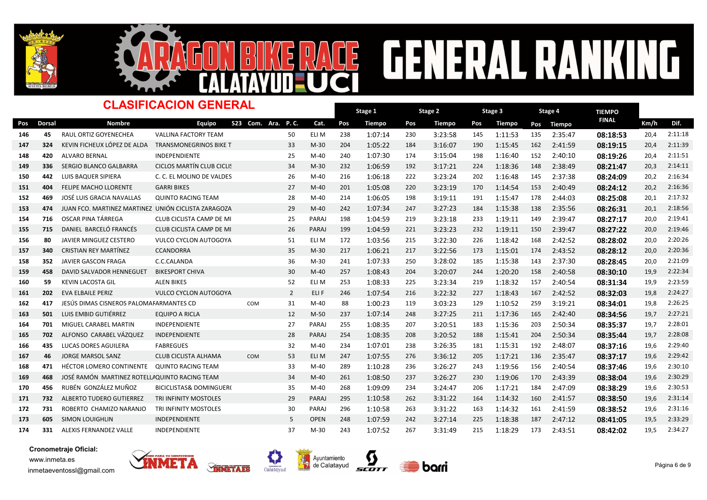



# RACE GENERAL RANKING

#### Dorsal Nombre TIEMPO -<br>Pos Dorsal Nombre Equipo S23 Com. Ara. P.C. Cat. Pos Tiempo Pos Tiempo Pos Tiempo Pos Tiempo <sup>FINAL</sup> Km/h Dif. Stage 1 Pos Tiempo Pos Tiempo Pos Tiempo Pos Tiempo Dinasta Km/h Stage 2 Pos Tiempo Stage 3 Pos Tiempo CLASIFICACION GENERAL S23 Com. Ara. P. C. Stage 4 Pos Tiempo 146 45 RAUL ORTIZ GOYENECHEA VALLINA FACTORY TEAM 50 ELI M 238 1:07:14 230 3:23:58 145 1:11:53 135 2:35:47 08:18:53 20,4 2:11:18 147 324 KEVIN<code>FICHEUX</code> LÓPEZ<code>DE</code> ALDA TRANSMONEGRINOS BIKE T 6 33 M-30 204 1:05:22 184 3:16:07 190 1:15:45 162 2:41:59 08:19:15 20,4 2:11:39 148 420 ALVARO<code>BERNAL IMDEPEND</code>IENTE 25 M-40 240 1:07:30 174 3:15:04 198 1:16:40 152 2:40:10 08:19:26 20,4 2:11:51 149 336 SERGIO<code>BLANCO</code> GALBARRA CICLOS MARTÍN CLUB CICLI:  $\begin{array}{ccccccccccccc} 34 & M-30 & 232 & 1:06:59 & 192 & 3:17:21 & 224 & 1:18:36 & 148 & 2:38:49 & \textbf{0} & \textbf{0} & \textbf{0} & \textbf{2} & \textbf{1} & \textbf{1} & \textbf{2} & \textbf{0} & \textbf{0} & \textbf{0} & \textbf{0} & \textbf{1} & \textbf{$ 150 442 LUIS BAQUER SIPIERA C. C. EL MOLINO DE VALDES 26 M-40 216 1:06:18 222 3:23:24 202 1:16:48 145 2:37:38 08:24:09 20,2 2:16:34 151 404 FELIPE MACHO LLORENTE GARRI BIKES NELLES 27 M-40 201 1:05:08 220 3:23:19 170 1:14:54 153 2:40:49 08:24:12 20,2 2:16:36 152 469 JOSÉ LUIS GRACIA NAVALLAS QUINTO RACING TEAM 28 M-40 214 1:06:05 198 3:19:11 191 1:15:47 178 2:44:03 08:25:08 20,1 2:17:32 153 474 JUAN FCO. MARTINEZ MARTINEZ UNIÓN CICLISTA ZARAGOZA 29 M-40 242 1:07:34 247 3:27:23 184 1:15:38 138 2:35:56 08:26:31 20,1 2:18:56 154 716 OSCAR PINA TÁRREGA CLUB CICLISTA CAMP DE MI 25 PARAJ 198 1:04:59 219 3:23:18 233 1:19:11 149 2:39:47 08:27:17 20,0 2:19:41 155 715 DANIEL BARCELÓ FRANCÉS CLUB CICLISTA CAMP DE MIRRA 26 PARAJ 199 1:04:59 221 3:23:23 232 1:19:11 150 2:39:47 08:27:22 20,0 2:19:46 156 80 JAVIER MINGUEZ CESTERO VULCO CYCLON AUTOGOYA 51 ELI M 172 1:03:56 215 3:22:30 226 1:18:42 168 2:42:52 08:<mark>28:02</mark> 20,0 2:20:26 157 340 CRISTIAN REY MARTÍNEZ CCANDORRA M-35 M-30 217 1:06:21 217 3:22:56 173 1:15:01 174 2:43:52 <mark>08:28:12</mark> 20,0 2:20:36 158 352 JAVIERGASCON FRAGA C.C.CALANDA 36 M-30 241 1:07:33 250 3:28:02 185 1:15:38 143 2:37:30 08:28:45 20,0 2:21:09 159 458 DAVID SALVADOR HENNEGUET BIKESPORT CHIVA NAMA 200 M-40 257 1:08:43 204 3:20:07 244 1:20:20 158 2:40:58 08:30:10 19,9 2:22:34 <sup>160</sup> <sup>59</sup> KEVIN LACOSTA GIL ALEN BIKES ELI M 253 52 157 1:08:33 <sup>225</sup> 3:23:34 <sup>219</sup> 1:18:32 2:40:54 08:31:34 19,9 2:23:59 <sup>161</sup> <sup>202</sup> EVA ELBAILE PERIZ VULCO CYCLON AUTOGOYA 2 167 ELI F 246 1:07:54 <sup>216</sup> 3:22:32 <sup>227</sup> 1:18:43 2:42:52 08:32:03 19,8 2:24:27 162 417 JESÚS DIMAS CISNEROS PALOMAFARMANTES CD 60 31 M-40 88 1:00:23 119 3:03:23 129 1:10:52 259 3:19:21 08:34:01 19.8 2:26:25 163 501 LUIS EMBID GUTIÉRREZ EQUIPO A RICLA 12 M-50 237 1:07:14 248 3:27:25 211 1:17:36 165 2:42:40 08:34:56 19,7 2:27:21 164 701 MIGUELCARABELMARTIN INDEPENDIENTE 1999 1999 27 PARAJ 255 1:08:35 207 3:20:51 183 1:15:36 203 2:50:34 08:35:37 19,7 2:28:01 165 702 ALFONSO CARABEL VÁZQUEZ INDEPENDIENTE 28 PARAJ 254 1:08:35 208 3:20:52 188 1:15:41 204 2:50:34 08:35:44 19,7 2:28:08 166 435 LUCAS DORES AGUILERA FABREGUES 1999 1999 11:07:01 234 1:07:01 238 3:26:35 181 1:15:31 192 2:48:07 **08:37:16** 19,6 2:29:40 167 46 JORGE MARSOL SANZ CLUB CICLISTA ALHAMA COM 53 ELI M 247 1:07:55 276 3:36:12 205 1:17:21 136 2:35:47 08:<mark>37:17</mark> 19,6 2:29:42 168 471 HÉCTOR LOMERO CONTINENTE QUINTO RACING TEAM **Mateur 1998 1:10:28 126 236 3:26:27** 243 1:19:56 156 2:40:54 08:37:46 19,6 2:30:10 169 468 JOSÉ RAMÓN MARTINEZ ROTELLAQUINTO RACING TEAM 1 168 4 440 261 1:08:50 237 3:26:27 230 1:19:06 170 2:43:39 08:38:04 19,6 2:30:29 170 456 RUBÉN GONZÁLEZ MUÑOZ BICICLISTAS& DOMINGUER( 35 M-40 268 1:09:09 234 3:24:47 206 1:17:21 184 2:47:09 **08:38:29** 19,6 2:30:53 171 732 ALBERTO<code>TUDERO</code> GUTIERREZ TRI<code>INFINITY</code> MOSTOLES 29 PARAJ 295 1:10:58 262 3:31:22 164 1:14:32 160 2:41:57 08:38:50 19,6 2:31:14 172 731 ROBERTO CHAMIZO<code>NARAN</code>JO TRI<code>INFINITY</code> MOSTOLES 8 90 PARAJ 296 1:10:58 263 3:31:22 163 1:14:32 161 2:41:59 08:38:52 19,6 2:31:16 173 605 SIMON LOUIGHLIN INDEPENDIENTE 5 OPEN 248 1:07:59 242 3:27:14 225 1:18:38 187 2:47:12 08:41:05 19,5 2:33:29 174 331 ALEXIS FERNANDEZ VALLE INDEPENDIENTE 1999 137 M-30 243 1:07:52 267 3:31:49 215 1:18:29 173 2:43:51 08:42:02 19,5 2:34:27







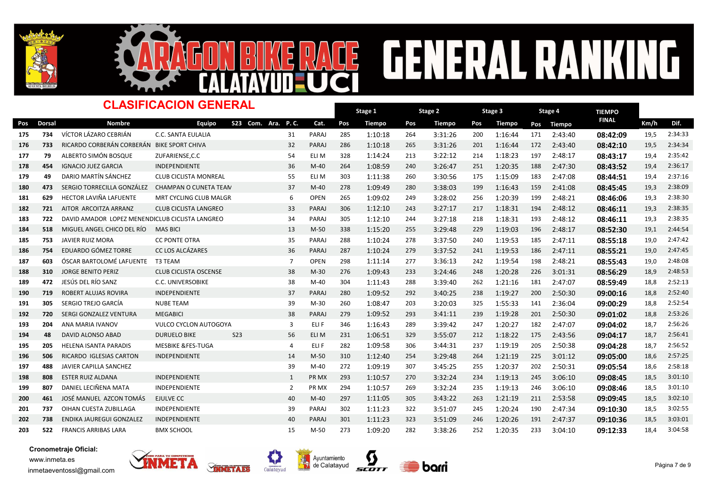



# RACE GENERAL RANKING

#### Dorsal Nombre TIEMPO -<br>Pos Dorsal Nombre Equipo S23 Com. Ara. P.C. Cat. Pos Tiempo Pos Tiempo Pos Tiempo Pos Tiempo <sup>FINAL</sup> Km/h Dif. Stage 1 Pos Tiempo Pos Tiempo Pos Tiempo Pos Tiempo Dinasta Km/h Stage 2 Pos Tiempo Stage 3 Pos Tiempo CLASIFICACION GENERAL S23 Com. Ara. P. C. Stage 4 Pos Tiempo 175 734 VÍCTOR LÁZARO CEBRIÁN C.C. SANTA EULALIA REARAT 285 1:10:18 264 3:31:26 200 1:16:44 171 2:43:40 08:<mark>42:09</mark> 19,5 2:34:33 176 733 RICARDO CORBERÁN CORBERÁN BIKE SPORT CHIVA **PARAJ 286 1:10:18 265 3:31:26** 201 1:16:44 172 2:43:40 08:42:10 19,5 2:34:34 177 79 ALBERTO SIMÓN BOSQUE ZUFARIENSE,C.C 6 6 1 54 ELI M 328 1:14:24 213 3:22:12 214 1:18:23 197 2:48:17 08:<mark>43:17</mark> 19,4 2:35:42 178 454 IGNACIOJUEZ GARCIA INDEPENDIENTE 1994 11040 264 1:08:59 240 3:26:47 251 1:20:35 188 2:47:30 08:43:52 19,4 2:36:17 179 49 DARIO MARTÍN SÁNCHEZ CLUB CICLISTA MONREAL 6 55 ELI M 303 1:11:38 260 3:30:56 175 1:15:09 183 2:47:08 **08:44:51** 19,4 2:37:16 <sup>180</sup> <sup>473</sup> SERGIO TORRECILLA GONZÁLEZ CHAMPAN O CUNETA TEAM 37 159 M-40 278 1:09:49 <sup>280</sup> 3:38:03 <sup>199</sup> 1:16:43 2:41:08 08:45:45 19,3 2:38:09 181 629 HECTOR LAVIÑA LAFUENTE MRT CYCLING CLUB MALGR 6 OPEN 265 1:09:02 249 3:28:02 256 1:20:39 199 2:48:21 <mark>08:46:06</mark> 19,3 2:38:30 182 721 AITOR ARCOITZA ARRANZ CLUB CICLISTA LANGREO 33 PARAJ 306 1:12:10 243 3:27:17 217 1:18:31 194 2:48:12 08:46:11 19,3 2:38:35 183 722 DAVID AMADOR LOPEZ MENENDICLUB CICLISTA LANGREO 34 PARAJ 305 1:12:10 244 3:27:18 218 1:18:31 193 2:48:12 08:46:11 19.3 2:38:35 184 518 MIGUEL ANGEL CHICO DEL RÍO MAS BICI NAS BICI NA ANGLEANA 13 M-50 338 1:15:20 255 3:29:48 229 1:19:03 196 2:48:17 08:<mark>52:30</mark> 19,1 2:44:54 185 753 JAVIER RUIZ MORA CC PONTE OTRA 28 1:10:24 278 3:37:50 240 1:19:53 185 2:47:11 **08:55:18** 19,0 2:47:42 186 754 EDUARDO GÓMEZTORRE CC LOS ALCÁZARES 247 1:10:24 279 1:10:24 279 3:37:52 241 1:19:53 186 2:47:11 **08:55:21** 19,0 2:47:45 187 603 ÓSCAR BARTOLOMÉ LAFUENTE T3 TEAM 7 OPEN 298 1:11:14 277 3:36:13 242 1:19:54 198 2:48:21 <mark>08:55:43</mark> 19,0 2:48:08 188 310 JORGE BENITO PERIZ CLUB CICLISTA OSCENSE 6 238 M-30 276 1:09:43 233 3:24:46 248 1:20:28 226 3:01:31 08:56:29 18,9 2:48:53 <sup>189</sup> <sup>472</sup> JESÚS DEL RÍO SANZ C.C. UNIVERSOBIKE M-40 304 38 181 1:11:43 <sup>288</sup> 3:39:40 <sup>262</sup> 1:21:16 2:47:07 08:59:49 18,8 2:52:13 190 719 ROBERT ALUJAS ROVIRA INDEPENDIENTE 1993 199 280 1:09:52 292 3:40:25 238 1:19:27 200 2:50:30 09:00:16 18,8 2:52:40 <sup>191</sup> <sup>305</sup> SERGIO TREJO GARCÍA NUBE TEAM M-30 260 39 141 1:08:47 <sup>203</sup> 3:20:03 <sup>325</sup> 1:55:33 2:36:04 09:00:29 18,8 2:52:54 <sup>192</sup> <sup>720</sup> SERGI GONZALEZ VENTURA MEGABICI PARAJ 279 38 201 1:09:52 <sup>293</sup> 3:41:11 <sup>239</sup> 1:19:28 2:50:30 09:01:02 18,8 2:53:26 193 204 ANA MARIA IVANOV VULCO CYCLON AUTOGOYA 3 ELIF 346 1:16:43 289 3:39:42 247 1:20:27 182 2:47:07 **09:04:02** 18,7 2:56:26 194 48 DAVID ALONSO ABAD DURUELO BIKE S23 56 ELI M 231 1:06:51 329 3:55:07 212 1:18:22 175 2:43:56 <mark>09:04:17</mark> 18,7 2:56:41 <sup>195</sup> <sup>205</sup> HELENA ISANTA PARADIS MESBIKE &FES-TUGA ELI F 282 4 205 1:09:58 <sup>306</sup> 3:44:31 <sup>237</sup> 1:19:19 2:50:38 09:04:28 18,7 2:56:52 196 506 RICARDO IGLESIAS CARTON INDEPENDIENTE 14 M-50 310 1:12:40 254 3:29:48 264 1:21:19 225 3:01:12 **09:05:00** 18,6 2:57:25 197 488 JAVIERCAPILLA SANCHEZ 2:58:18 <sup>198</sup> <sup>808</sup> ESTER RUIZ ALDANA INDEPENDIENTE PR MX 293 1 245 1:10:57 <sup>270</sup> 3:32:24 <sup>234</sup> 1:19:13 3:06:10 09:08:45 18,5 3:01:10 199 807 DANIEL LECIÑENA MATA INDEPENDIENTE 199 1994 1:10:57 169 3:32:24 235 1:19:13 246 3:06:10 09:08:46 18,5 3:01:10 200 461 JOSÉ MANUEL AZCON TOMÁS EJULVE CC 40 M-40 297 1:11:05 305 3:43:22 263 1:21:19 211 2:53:58 **09:09:45** 18,5 3:02:10 201 737 OIHAN CUESTA ZUBILLAGA INDEPENDIENTE 39 PARAJ 302 1:11:23 322 3:51:07 245 1:20:24 190 2:47:34 **09:10:30** 18,5 3:02:55 202 738 ENDIKA JAUREGUI GONZALEZ INDEPENDIENTE 40 PARAJ 301 1:11:23 323 3:51:09 246 1:20:26 191 2:47:37 **09:10:36** 18,5 3:03:01 203 522 FRANCIS ARRIBAS LARA BMX SCHOOL 15 M-50 273 1:09:20 282 3:38:26 252 1:20:35 233 3:04:10 09:12:33 18,4 3:04:58







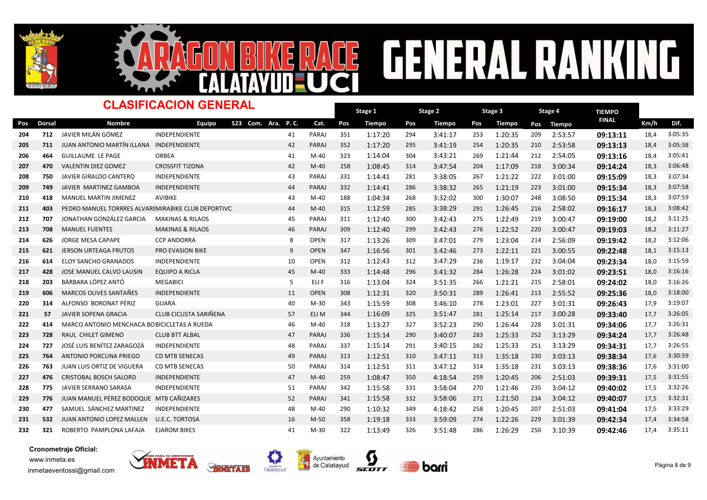



# ACE GENERAL RANKING

#### Dorsal Nombre TIEMPO -<br>Pos Dorsal Nombre Equipo S23 Com. Ara. P.C. Cat. Pos Tiempo Pos Tiempo Pos Tiempo Pos Tiempo <sup>FINAL</sup> Km/h Dif. Stage 1 Pos Tiempo Pos Tiempo Pos Tiempo Pos Tiempo Dinasta Km/h Stage 2 Pos Tiempo Stage 3 Pos Tiempo CLASIFICACION GENERAL S23 Com. Ara. P. C. Stage 4 Pos Tiempo 204 712 JAVIER MILÁN GÓMEZ INDEPENDIENTE 1994 41 PARAJ 351 1:17:20 294 3:41:17 253 1:20:35 209 2:53:57 09:13:11 18,4 3:05:35 205 711 JUAN ANTONIO MARTÍN ILLANA INDEPENDIENTE **PARAJ 42 PARAJ 352 1:17:20 295 3:41:19** 254 1:20:35 210 2:53:58 09:13:13 18,4 3:05:38 <sup>206</sup> <sup>464</sup> GUILLAUME LE PAGE ORBEA M-40 323 41 212 1:14:04 <sup>304</sup> 3:43:21 <sup>269</sup> 1:21:44 2:54:05 09:13:16 18,4 3:05:41 <sup>207</sup> <sup>470</sup> VALENTIN DIEZ GOMEZ CROSSFIT TIZONA M-40 258 42 218 1:08:45 <sup>314</sup> 3:47:54 <sup>204</sup> 1:17:09 3:00:34 09:14:24 18,3 3:06:48 208 750 JAVIER GIRALDO<code>CANTERO</code> INDEPENDIENTE  $\,$  43 PARAJ 331  $1:14:41$  281  $3:38:05$  267  $1:21:22$  222  $3:01:00$  09:15:09 18,3 3:07:34 209 749 JAVIER MARTINEZ GAMBOA INDEPENDIENTE RARAT 44 PARAJ 332 1:14:41 286 3:38:32 265 1:21:19 223 3:01:00 **09:15:34** 18,3 3:07:58 210 418 MANUEL MARTIN JIMENEZ AVIBIKE 43 M-40 188 1:04:34 268 3:32:02 300 1:30:07 248 3:08:50 **09:15:34** 18,3 3:07:59 211 403 PEDRO MANUEL TORRRES ALVAREMIRABIKE CLUB DEPORTIVC 44 M-40 315 1:12:59 285 3:38:29 291 1:26:45 216 2:58:02 09:16:17 18,3 3:08:42 212 707 JONATHAN GONZÁLEZ GARCIA MAKINAS&RILAOS 45 PARAJ 311 1:12:40 300 3:42:43 275 1:22:49 219 3:00:47 09:19:00 18,2 3:11:25 213 708 MANUEL「FUENTES MAKINAS&RILAOS 199 46 PARAJ 309 1:12:40 299 3:42:43 276 1:22:52 220 3:00:47 **09:19:03** 18,2 3:11:27 <sup>214</sup> <sup>626</sup> JORGE MESA CAPAPE CCP ANDORRA OPEN 317 8 214 1:13:26 <sup>309</sup> 3:47:01 <sup>279</sup> 1:23:04 2:56:09 09:19:42 18,2 3:12:06 215 621 JERSON<code>URTEAGA</code> FRUTOS PRO<code>EVASION</code> BIKE  $9$  OPEN 347 1:16:56 301 3:42:46 273 1:22:11 221 3:00:55 **09:22:48** 18,1 3:15:13 216 614 ELOY SANCHO GRANADOS INDEPENDIENTE 10 OPEN 312 1:12:43 312 3:47:29 236 1:19:17 232 3:04:04 **09:23:34** 18,0 3:15:59 217 428 JOSE MANUEL CALVO LAUSIN EQUIPO A RICLA (1990) 45 M-40 333 1:14:48 296 3:41:32 284 1:26:28 224 3:01:02 09:23:51 18,0 3:16:16 218 203 BÀRBARA LÓPEZ ANTÓ MEGABICI 5 ELIF 316 1:13:04 324 3:51:35 266 1:21:21 215 2:58:01 **09:24:02** 18,0 3:16:26 219 606 MARCOS OLIVES SANTAÑES INDEPENDIENTE 11 OPEN 308 1:12:31 320 3:50:31 289 1:26:41 213 2:55:52 **09:25:36** 18,0 3:18:00 220 314 ALFONSO BORONAT PÉRIZ GUARA 40 M-30 343 1:15:59 308 3:46:10 278 1:23:01 277 3:01:31 **09:26:43** 17,9 3:19:07 221 57 JAVIER SOPENA GRACIA CLUB CICLISTA SARIÑENA 5 57 ELI M 344 1:16:09 325 3:51:47 281 1:25:14 217 3:00:28 **09:33:40** 17,7 3:26:05 222 414 MARCO ANTONIO MENCHACA BOBICICLETAS A RUEDA 1 46 M-40 318 1:13:27 327 3:52:23 290 1:26:44 228 3:01:31 09:34:06 17,7 3:26:31 223 728 RAUL CHILET GIMENO CLUB BTT ALBAL 17.7 11 PARAJ 336 1:15:14 290 3:40:07 283 1:25:33 252 3:13:29 **09:34:24** 17,7 3:26:48 224 727 JOSÉ LUIS BENÍTEZ ZARAGOZÁ INDEPENDIENTE 48 PARAJ 337 1:15:14 291 3:40:15 282 1:25:33 251 3:13:29 09:34:31 17,7 3:26:55 225 764 ANTONIO PORCUNA PRIEGO CD MTB SENECAS PARAJ 49 PARAJ 313 1:12:51 310 3:47:11 313 1:35:18 230 3:03:13 09:38:34 17,6 3:30:59 226 763 JUAN LUIS ORTIZ DE VIGUERA CD MTB<code>SENECAS 19</code> 950 PARAJ 314 1:12:51 311 3:47:12 314 1:35:18 231 3:03:13 **09:38:36** 17,6 3:31:00 227 476 CRISTOBAL BOSCH SALORD INDEPENDIENTE 47 M-40 259 1:08:47 350 4:18:54 259 1:20:45 206 2:51:03 **09:39:31** 17,5 3:31:55 228 775 JAVIER SERRANO SARASA INDEPENDIENTE 1980 1999 1999 1342 1:15:58 331 3:58:04 270 1:21:46 235 3:04:12 09:40:02 17,5 3:32:26 229 776 JUAN MANUEL PÉREZ BODOQUE MTB CAÑIZARES **PARAJ 341 1:15:58 332 3:58:06** 271 1:21:50 234 3:04:12 09:40:07 17,5 3:32:31 230 477 SAMUEL SÁNCHEZ MARTINEZ INDEPENDIENTE 48 M-40 290 1:10:32 349 4:18:42 258 1:20:45 207 2:51:03 **09:41:04** 17,5 3:33:29 231 532 JUAN ANTONIO LOPEZ MALLEN U.E.C. TORTOSA NAMANIN 16 M-50 358 1:19:18 333 3:59:09 274 1:22:26 229 3:01:39 09:42:34 17,4 3:34:58 232 321 ROBERTO PAMPLONA LAFAJA EJAROM BIKES M-30 41 M-30 322 1:13:49 326 3:51:48 286 1:26:29 250 3:10:39 09:42:46 17,4 3:35:11

Cronometraje Oficial: www.inmeta.es inmetaeventossl@gmail.com





Avuntamiento